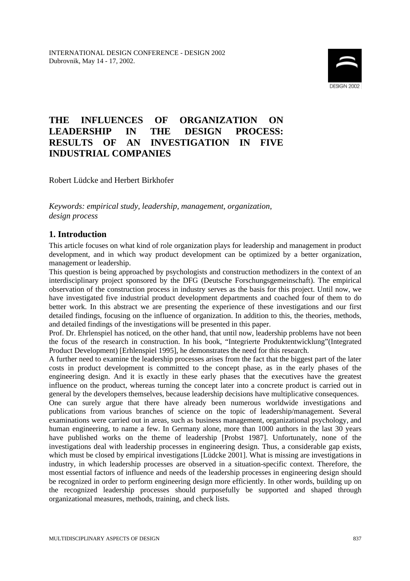

# **THE INFLUENCES OF ORGANIZATION ON LEADERSHIP IN THE DESIGN PROCESS: RESULTS OF AN INVESTIGATION IN FIVE INDUSTRIAL COMPANIES**

Robert Lüdcke and Herbert Birkhofer

*Keywords: empirical study, leadership, management, organization, design process*

# **1. Introduction**

This article focuses on what kind of role organization plays for leadership and management in product development, and in which way product development can be optimized by a better organization, management or leadership.

This question is being approached by psychologists and construction methodizers in the context of an interdisciplinary project sponsored by the DFG (Deutsche Forschungsgemeinschaft). The empirical observation of the construction process in industry serves as the basis for this project. Until now, we have investigated five industrial product development departments and coached four of them to do better work. In this abstract we are presenting the experience of these investigations and our first detailed findings, focusing on the influence of organization. In addition to this, the theories, methods, and detailed findings of the investigations will be presented in this paper.

Prof. Dr. Ehrlenspiel has noticed, on the other hand, that until now, leadership problems have not been the focus of the research in construction. In his book, "Integrierte Produktentwicklung"(Integrated Product Development) [Erhlenspiel 1995], he demonstrates the need for this research.

A further need to examine the leadership processes arises from the fact that the biggest part of the later costs in product development is committed to the concept phase, as in the early phases of the engineering design. And it is exactly in these early phases that the executives have the greatest influence on the product, whereas turning the concept later into a concrete product is carried out in general by the developers themselves, because leadership decisions have multiplicative consequences.

One can surely argue that there have already been numerous worldwide investigations and publications from various branches of science on the topic of leadership/management. Several examinations were carried out in areas, such as business management, organizational psychology, and human engineering, to name a few. In Germany alone, more than 1000 authors in the last 30 years have published works on the theme of leadership [Probst 1987]. Unfortunately, none of the investigations deal with leadership processes in engineering design. Thus, a considerable gap exists, which must be closed by empirical investigations [Lüdcke 2001]. What is missing are investigations in industry, in which leadership processes are observed in a situation-specific context. Therefore, the most essential factors of influence and needs of the leadership processes in engineering design should be recognized in order to perform engineering design more efficiently. In other words, building up on the recognized leadership processes should purposefully be supported and shaped through organizational measures, methods, training, and check lists.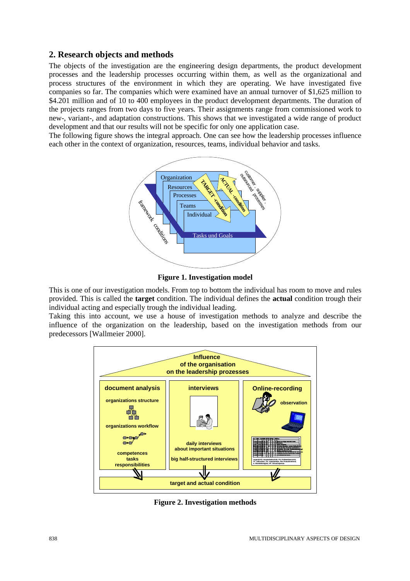### 2. Research objects and methods

The objects of the investigation are the engineering design departments, the product development processes and the leadership processes occurring within them, as well as the organizational and process structures of the environment in which they are operating. We have investigated five companies so far. The companies which were examined have an annual turnover of \$1,625 million to \$4.201 million and of 10 to 400 employees in the product development departments. The duration of the projects ranges from two days to five years. Their assignments range from commissioned work to new-, variant-, and adaptation constructions. This shows that we investigated a wide range of product development and that our results will not be specific for only one application case.

The following figure shows the integral approach. One can see how the leadership processes influence each other in the context of organization, resources, teams, individual behavior and tasks.



**Figure 1. Investigation model** 

This is one of our investigation models. From top to bottom the individual has room to move and rules provided. This is called the **target** condition. The individual defines the **actual** condition trough their individual acting and especially trough the individual leading.

Taking this into account, we use a house of investigation methods to analyze and describe the influence of the organization on the leadership, based on the investigation methods from our predecessors [Wallmeier 2000].



**Figure 2. Investigation methods**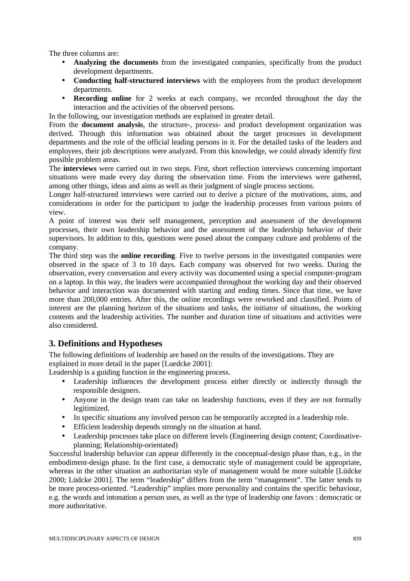The three columns are:

- **Analyzing the documents** from the investigated companies, specifically from the product development departments.
- **Conducting half-structured interviews** with the employees from the product development departments.
- **Recording online** for 2 weeks at each company, we recorded throughout the day the interaction and the activities of the observed persons.
- In the following, our investigation methods are explained in greater detail.

From the **document analysis**, the structure-, process- and product development organization was derived. Through this information was obtained about the target processes in development departments and the role of the official leading persons in it. For the detailed tasks of the leaders and employees, their job descriptions were analyzed. From this knowledge, we could already identify first possible problem areas.

The **interviews** were carried out in two steps. First, short reflection interviews concerning important situations were made every day during the observation time. From the interviews were gathered, among other things, ideas and aims as well as their judgment of single process sections.

Longer half-structured interviews were carried out to derive a picture of the motivations, aims, and considerations in order for the participant to judge the leadership processes from various points of view.

A point of interest was their self management, perception and assessment of the development processes, their own leadership behavior and the assessment of the leadership behavior of their supervisors. In addition to this, questions were posed about the company culture and problems of the company.

The third step was the **online recording**. Five to twelve persons in the investigated companies were observed in the space of 3 to 10 days. Each company was observed for two weeks. During the observation, every conversation and every activity was documented using a special computer-program on a laptop. In this way, the leaders were accompanied throughout the working day and their observed behavior and interaction was documented with starting and ending times. Since that time, we have more than 200,000 entries. After this, the online recordings were reworked and classified. Points of interest are the planning horizon of the situations and tasks, the initiator of situations, the working contents and the leadership activities. The number and duration time of situations and activities were also considered.

# **3. Definitions and Hypotheses**

The following definitions of leadership are based on the results of the investigations. They are explained in more detail in the paper [Luedcke 2001]:

Leadership is a guiding function in the engineering process.

- Leadership influences the development process either directly or indirectly through the responsible designers.
- Anyone in the design team can take on leadership functions, even if they are not formally legitimized.
- In specific situations any involved person can be temporarily accepted in a leadership role.
- Efficient leadership depends strongly on the situation at hand.
- Leadership processes take place on different levels (Engineering design content; Coordinativeplanning; Relationship-orientated)

Successful leadership behavior can appear differently in the conceptual-design phase than, e.g., in the embodiment-design phase. In the first case, a democratic style of management could be appropriate, whereas in the other situation an authoritarian style of management would be more suitable [Lüdcke 2000; Lüdcke 2001]. The term "leadership" differs from the term "management". The latter tends to be more process-oriented. "Leadership" implies more personality and contains the specific behaviour, e.g. the words and intonation a person uses, as well as the type of leadership one favors : democratic or more authoritative.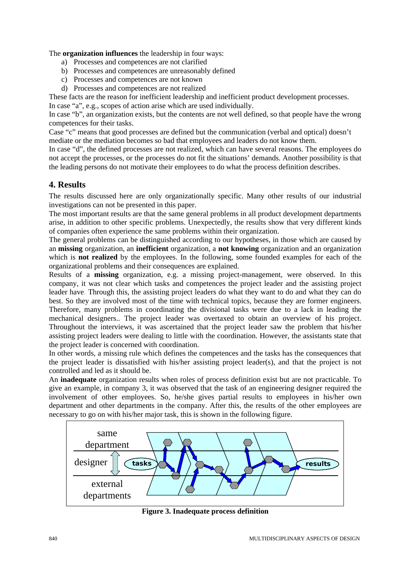The **organization influences** the leadership in four ways:

- a) Processes and competences are not clarified
- b) Processes and competences are unreasonably defined
- c) Processes and competences are not known
- d) Processes and competences are not realized

These facts are the reason for inefficient leadership and inefficient product development processes.

In case "a", e.g., scopes of action arise which are used individually.

In case "b", an organization exists, but the contents are not well defined, so that people have the wrong competences for their tasks.

Case "c" means that good processes are defined but the communication (verbal and optical) doesn't mediate or the mediation becomes so bad that employees and leaders do not know them.

In case "d", the defined processes are not realized, which can have several reasons. The employees do not accept the processes, or the processes do not fit the situations' demands. Another possibility is that the leading persons do not motivate their employees to do what the process definition describes.

### **4. Results**

The results discussed here are only organizationally specific. Many other results of our industrial investigations can not be presented in this paper.

The most important results are that the same general problems in all product development departments arise, in addition to other specific problems. Unexpectedly, the results show that very different kinds of companies often experience the same problems within their organization.

The general problems can be distinguished according to our hypotheses, in those which are caused by an **missing** organization, an **inefficient** organization, a **not knowing** organization and an organization which is **not realized** by the employees. In the following, some founded examples for each of the organizational problems and their consequences are explained.

Results of a **missing** organization, e.g. a missing project-management, were observed. In this company, it was not clear which tasks and competences the project leader and the assisting project leader have. Through this, the assisting project leaders do what they want to do and what they can do best. So they are involved most of the time with technical topics, because they are former engineers. Therefore, many problems in coordinating the divisional tasks were due to a lack in leading the mechanical designers.. The project leader was overtaxed to obtain an overview of his project. Throughout the interviews, it was ascertained that the project leader saw the problem that his/her assisting project leaders were dealing to little with the coordination. However, the assistants state that the project leader is concerned with coordination.

In other words, a missing rule which defines the competences and the tasks has the consequences that the project leader is dissatisfied with his/her assisting project leader(s), and that the project is not controlled and led as it should be.

An **inadequate** organization results when roles of process definition exist but are not practicable. To give an example, in company 3, it was observed that the task of an engineering designer required the involvement of other employees. So, he/she gives partial results to employees in his/her own department and other departments in the company. After this, the results of the other employees are necessary to go on with his/her major task, this is shown in the following figure.



**Figure 3. Inadequate process definition**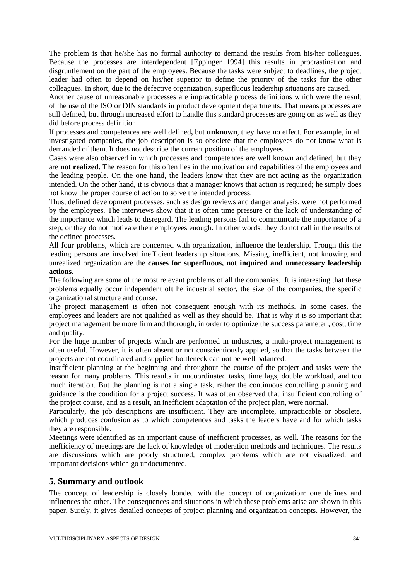The problem is that he/she has no formal authority to demand the results from his/her colleagues. Because the processes are interdependent [Eppinger 1994] this results in procrastination and disgruntlement on the part of the employees. Because the tasks were subject to deadlines, the project leader had often to depend on his/her superior to define the priority of the tasks for the other colleagues. In short, due to the defective organization, superfluous leadership situations are caused.

Another cause of unreasonable processes are impracticable process definitions which were the result of the use of the ISO or DIN standards in product development departments. That means processes are still defined, but through increased effort to handle this standard processes are going on as well as they did before process definition.

If processes and competences are well defined**,** but **unknown**, they have no effect. For example, in all investigated companies, the job description is so obsolete that the employees do not know what is demanded of them. It does not describe the current position of the employees.

Cases were also observed in which processes and competences are well known and defined, but they are **not realized**. The reason for this often lies in the motivation and capabilities of the employees and the leading people. On the one hand, the leaders know that they are not acting as the organization intended. On the other hand, it is obvious that a manager knows that action is required; he simply does not know the proper course of action to solve the intended process.

Thus, defined development processes, such as design reviews and danger analysis, were not performed by the employees. The interviews show that it is often time pressure or the lack of understanding of the importance which leads to disregard. The leading persons fail to communicate the importance of a step, or they do not motivate their employees enough. In other words, they do not call in the results of the defined processes.

All four problems, which are concerned with organization, influence the leadership. Trough this the leading persons are involved inefficient leadership situations. Missing, inefficient, not knowing and unrealized organization are the **causes for superfluous, not inquired and unnecessary leadership actions**.

The following are some of the most relevant problems of all the companies. It is interesting that these problems equally occur independent oft he industrial sector, the size of the companies, the specific organizational structure and course.

The project management is often not consequent enough with its methods. In some cases, the employees and leaders are not qualified as well as they should be. That is why it is so important that project management be more firm and thorough, in order to optimize the success parameter , cost, time and quality.

For the huge number of projects which are performed in industries, a multi-project management is often useful. However, it is often absent or not conscientiously applied, so that the tasks between the projects are not coordinated and supplied bottleneck can not be well balanced.

Insufficient planning at the beginning and throughout the course of the project and tasks were the reason for many problems. This results in uncoordinated tasks, time lags, double workload, and too much iteration. But the planning is not a single task, rather the continuous controlling planning and guidance is the condition for a project success. It was often observed that insufficient controlling of the project course, and as a result, an inefficient adaptation of the project plan, were normal.

Particularly, the job descriptions are insufficient. They are incomplete, impracticable or obsolete, which produces confusion as to which competences and tasks the leaders have and for which tasks they are responsible.

Meetings were identified as an important cause of inefficient processes, as well. The reasons for the inefficiency of meetings are the lack of knowledge of moderation methods and techniques. The results are discussions which are poorly structured, complex problems which are not visualized, and important decisions which go undocumented.

# **5. Summary and outlook**

The concept of leadership is closely bonded with the concept of organization: one defines and influences the other. The consequences and situations in which these problems arise are shown in this paper. Surely, it gives detailed concepts of project planning and organization concepts. However, the